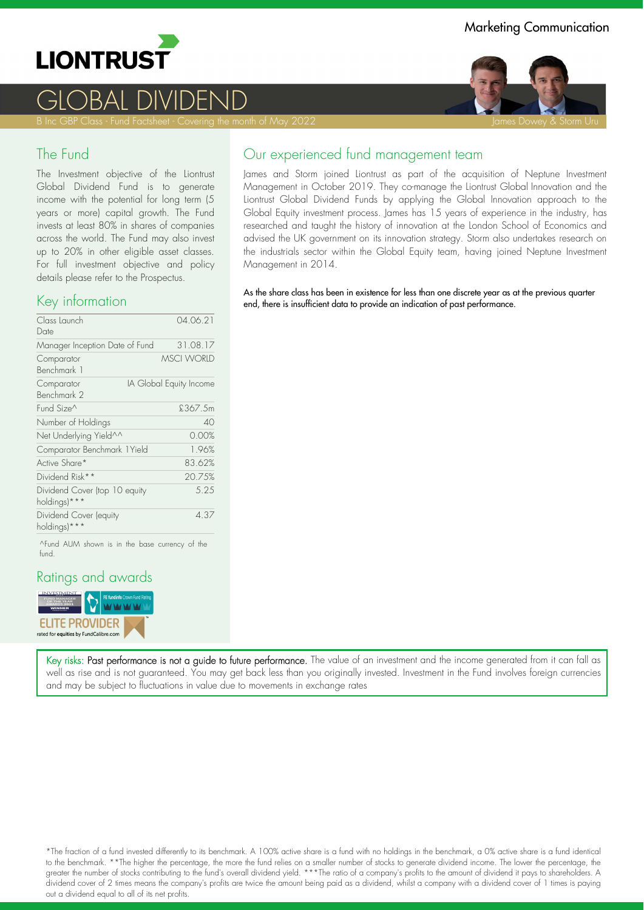

# GLOBAL DIVIDEND

#### The Fund

The Investment objective of the Liontrust Global Dividend Fund is to generate income with the potential for long term (5 years or more) capital growth. The Fund invests at least 80% in shares of companies across the world. The Fund may also invest up to 20% in other eligible asset classes. For full investment objective and policy details please refer to the Prospectus.

#### Key information

| Class Launch<br>Date                          | 04.06.21                |
|-----------------------------------------------|-------------------------|
| Manager Inception Date of Fund                | 31.08.17                |
| Comparator<br>Benchmark 1                     | <b>MSCI WORLD</b>       |
| Comparator<br>Benchmark 2                     | IA Global Equity Income |
| Fund Size^                                    | £367.5m                 |
| Number of Holdings                            | 40                      |
| Net Underlying Yield^^                        | 0.00%                   |
| Comparator Benchmark 1 Yield                  | 1.96%                   |
| Active Share*                                 | 83.62%                  |
| Dividend Risk**                               | 20.75%                  |
| Dividend Cover (top 10 equity<br>holdings)*** | 5.25                    |
| Dividend Cover (equity<br>holdings)***        | 4.37                    |
|                                               |                         |

^Fund AUM shown is in the base currency of the fund.

#### Ratings and awards



Our experienced fund management team

James and Storm joined Liontrust as part of the acquisition of Neptune Investment Management in October 2019. They co-manage the Liontrust Global Innovation and the Liontrust Global Dividend Funds by applying the Global Innovation approach to the Global Equity investment process. James has 15 years of experience in the industry, has researched and taught the history of innovation at the London School of Economics and advised the UK government on its innovation strategy. Storm also undertakes research on the industrials sector within the Global Equity team, having joined Neptune Investment Management in 2014.

As the share class has been in existence for less than one discrete year as at the previous quarter end, there is insufficient data to provide an indication of past performance.

Marketing Communication



Key risks: Past performance is not a guide to future performance. The value of an investment and the income generated from it can fall as well as rise and is not guaranteed. You may get back less than you originally invested. Investment in the Fund involves foreign currencies and may be subject to fluctuations in value due to movements in exchange rates

\*The fraction of a fund invested differently to its benchmark. A 100% active share is a fund with no holdings in the benchmark, a 0% active share is a fund identical to the benchmark. \*\*The higher the percentage, the more the fund relies on a smaller number of stocks to generate dividend income. The lower the percentage, the greater the number of stocks contributing to the fund's overall dividend yield. \*\*\*The ratio of a company's profits to the amount of dividend it pays to shareholders. A dividend cover of 2 times means the company's profits are twice the amount being paid as a dividend, whilst a company with a dividend cover of 1 times is paying out a dividend equal to all of its net profits.